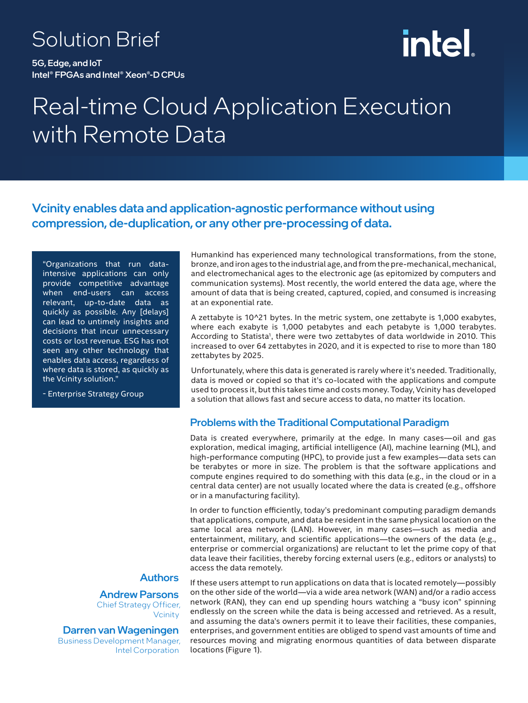### Solution Brief

5G, Edge, and IoT Intel® FPGAs and Intel® Xeon®-D CPUs

# intel

## Real-time Cloud Application Execution with Remote Data

Vcinity enables data and application-agnostic performance without using compression, de-duplication, or any other pre-processing of data.

"Organizations that run dataintensive applications can only provide competitive advantage when end-users can access relevant, up-to-date data as quickly as possible. Any [delays] can lead to untimely insights and decisions that incur unnecessary costs or lost revenue. ESG has not seen any other technology that enables data access, regardless of where data is stored, as quickly as the Vcinity solution."

- Enterprise Strategy Group

#### Authors

Andrew Parsons Chief Strategy Officer, **Vcinity** 

Darren van Wageningen Business Development Manager, Intel Corporation

Humankind has experienced many technological transformations, from the stone, bronze, and iron ages to the industrial age, and from the pre-mechanical, mechanical, and electromechanical ages to the electronic age (as epitomized by computers and communication systems). Most recently, the world entered the data age, where the amount of data that is being created, captured, copied, and consumed is increasing at an exponential rate.

A zettabyte is 10^21 bytes. In the metric system, one zettabyte is 1,000 exabytes, where each exabyte is 1,000 petabytes and each petabyte is 1,000 terabytes. According to Statista<sup>1</sup>, there were two zettabytes of data worldwide in 2010. This increased to over 64 zettabytes in 2020, and it is expected to rise to more than 180 zettabytes by 2025.

Unfortunately, where this data is generated is rarely where it's needed. Traditionally, data is moved or copied so that it's co-located with the applications and compute used to process it, but this takes time and costs money. Today, Vcinity has developed a solution that allows fast and secure access to data, no matter its location.

#### Problems with the Traditional Computational Paradigm

Data is created everywhere, primarily at the edge. In many cases—oil and gas exploration, medical imaging, artificial intelligence (AI), machine learning (ML), and high-performance computing (HPC), to provide just a few examples—data sets can be terabytes or more in size. The problem is that the software applications and compute engines required to do something with this data (e.g., in the cloud or in a central data center) are not usually located where the data is created (e.g., offshore or in a manufacturing facility).

In order to function efficiently, today's predominant computing paradigm demands that applications, compute, and data be resident in the same physical location on the same local area network (LAN). However, in many cases—such as media and entertainment, military, and scientific applications—the owners of the data (e.g., enterprise or commercial organizations) are reluctant to let the prime copy of that data leave their facilities, thereby forcing external users (e.g., editors or analysts) to access the data remotely.

If these users attempt to run applications on data that is located remotely—possibly on the other side of the world—via a wide area network (WAN) and/or a radio access network (RAN), they can end up spending hours watching a "busy icon" spinning endlessly on the screen while the data is being accessed and retrieved. As a result, and assuming the data's owners permit it to leave their facilities, these companies, enterprises, and government entities are obliged to spend vast amounts of time and resources moving and migrating enormous quantities of data between disparate locations (Figure 1).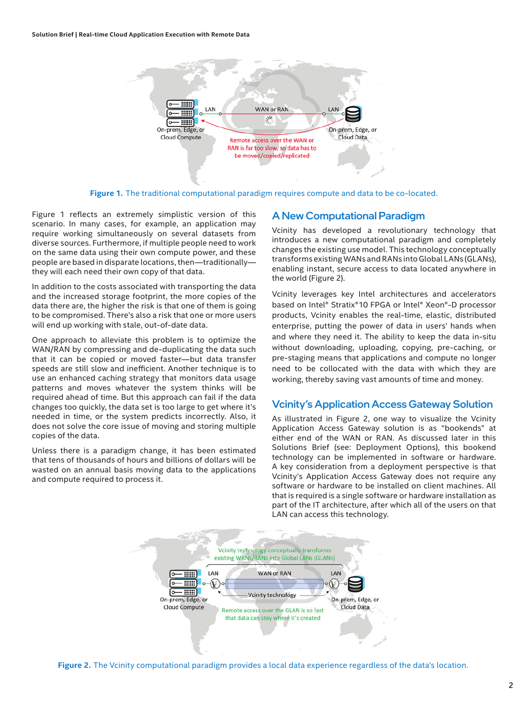

**Figure 1.** The traditional computational paradigm requires compute and data to be co-located.

Figure 1 reflects an extremely simplistic version of this scenario. In many cases, for example, an application may require working simultaneously on several datasets from diverse sources. Furthermore, if multiple people need to work on the same data using their own compute power, and these people are based in disparate locations, then—traditionally they will each need their own copy of that data.

In addition to the costs associated with transporting the data and the increased storage footprint, the more copies of the data there are, the higher the risk is that one of them is going to be compromised. There's also a risk that one or more users will end up working with stale, out-of-date data.

One approach to alleviate this problem is to optimize the WAN/RAN by compressing and de-duplicating the data such that it can be copied or moved faster—but data transfer speeds are still slow and inefficient. Another technique is to use an enhanced caching strategy that monitors data usage patterns and moves whatever the system thinks will be required ahead of time. But this approach can fail if the data changes too quickly, the data set is too large to get where it's needed in time, or the system predicts incorrectly. Also, it does not solve the core issue of moving and storing multiple copies of the data.

Unless there is a paradigm change, it has been estimated that tens of thousands of hours and billions of dollars will be wasted on an annual basis moving data to the applications and compute required to process it.

#### A New Computational Paradigm

Vcinity has developed a revolutionary technology that introduces a new computational paradigm and completely changes the existing use model. This technology conceptually transforms existing WANs and RANs into Global LANs (GLANs), enabling instant, secure access to data located anywhere in the world (Figure 2).

Vcinity leverages key Intel architectures and accelerators based on Intel® Stratix®10 FPGA or Intel® Xeon®-D processor products, Vcinity enables the real-time, elastic, distributed enterprise, putting the power of data in users' hands when and where they need it. The ability to keep the data in-situ without downloading, uploading, copying, pre-caching, or pre-staging means that applications and compute no longer need to be collocated with the data with which they are working, thereby saving vast amounts of time and money.

#### Vcinity's Application Access Gateway Solution

As illustrated in Figure 2, one way to visualize the Vcinity Application Access Gateway solution is as "bookends" at either end of the WAN or RAN. As discussed later in this Solutions Brief (see: Deployment Options), this bookend technology can be implemented in software or hardware. A key consideration from a deployment perspective is that Vcinity's Application Access Gateway does not require any software or hardware to be installed on client machines. All that is required is a single software or hardware installation as part of the IT architecture, after which all of the users on that LAN can access this technology.



**Figure 2.** The Vcinity computational paradigm provides a local data experience regardless of the data's location.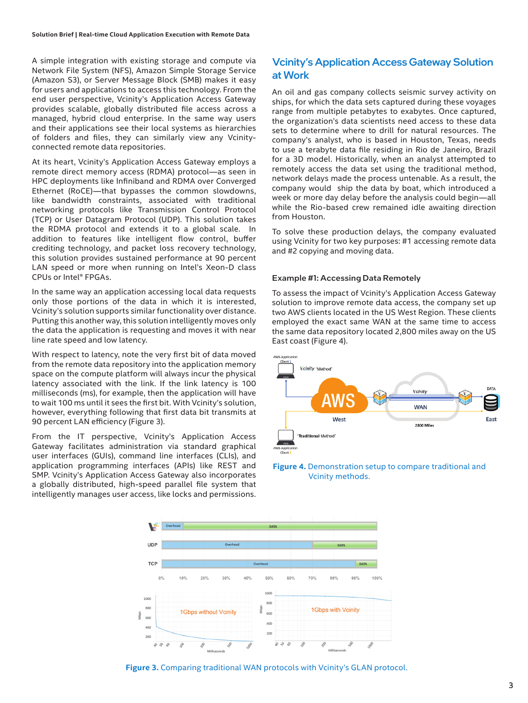A simple integration with existing storage and compute via Network File System (NFS), Amazon Simple Storage Service (Amazon S3), or Server Message Block (SMB) makes it easy for users and applications to access this technology. From the end user perspective, Vcinity's Application Access Gateway provides scalable, globally distributed file access across a managed, hybrid cloud enterprise. In the same way users and their applications see their local systems as hierarchies of folders and files, they can similarly view any Vcinityconnected remote data repositories.

At its heart, Vcinity's Application Access Gateway employs a remote direct memory access (RDMA) protocol—as seen in HPC deployments like Infiniband and RDMA over Converged Ethernet (RoCE)—that bypasses the common slowdowns, like bandwidth constraints, associated with traditional networking protocols like Transmission Control Protocol (TCP) or User Datagram Protocol (UDP). This solution takes the RDMA protocol and extends it to a global scale. In addition to features like intelligent flow control, buffer crediting technology, and packet loss recovery technology, this solution provides sustained performance at 90 percent LAN speed or more when running on Intel's Xeon-D class CPUs or Intel® FPGAs.

In the same way an application accessing local data requests only those portions of the data in which it is interested, Vcinity's solution supports similar functionality over distance. Putting this another way, this solution intelligently moves only the data the application is requesting and moves it with near line rate speed and low latency.

With respect to latency, note the very first bit of data moved from the remote data repository into the application memory space on the compute platform will always incur the physical latency associated with the link. If the link latency is 100 milliseconds (ms), for example, then the application will have to wait 100 ms until it sees the first bit. With Vcinity's solution, however, everything following that first data bit transmits at 90 percent LAN efficiency (Figure 3).

From the IT perspective, Vcinity's Application Access Gateway facilitates administration via standard graphical user interfaces (GUIs), command line interfaces (CLIs), and application programming interfaces (APIs) like REST and SMP. Vcinity's Application Access Gateway also incorporates a globally distributed, high-speed parallel file system that intelligently manages user access, like locks and permissions.

#### Vcinity's Application Access Gateway Solution at Work

An oil and gas company collects seismic survey activity on ships, for which the data sets captured during these voyages range from multiple petabytes to exabytes. Once captured, the organization's data scientists need access to these data sets to determine where to drill for natural resources. The company's analyst, who is based in Houston, Texas, needs to use a terabyte data file residing in Rio de Janeiro, Brazil for a 3D model. Historically, when an analyst attempted to remotely access the data set using the traditional method, network delays made the process untenable. As a result, the company would ship the data by boat, which introduced a week or more day delay before the analysis could begin—all while the Rio-based crew remained idle awaiting direction from Houston.

To solve these production delays, the company evaluated using Vcinity for two key purposes: #1 accessing remote data and #2 copying and moving data.

#### Example #1: Accessing Data Remotely

To assess the impact of Vcinity's Application Access Gateway solution to improve remote data access, the company set up two AWS clients located in the US West Region. These clients employed the exact same WAN at the same time to access the same data repository located 2,800 miles away on the US East coast (Figure 4).







**Figure 3.** Comparing traditional WAN protocols with Vcinity's GLAN protocol.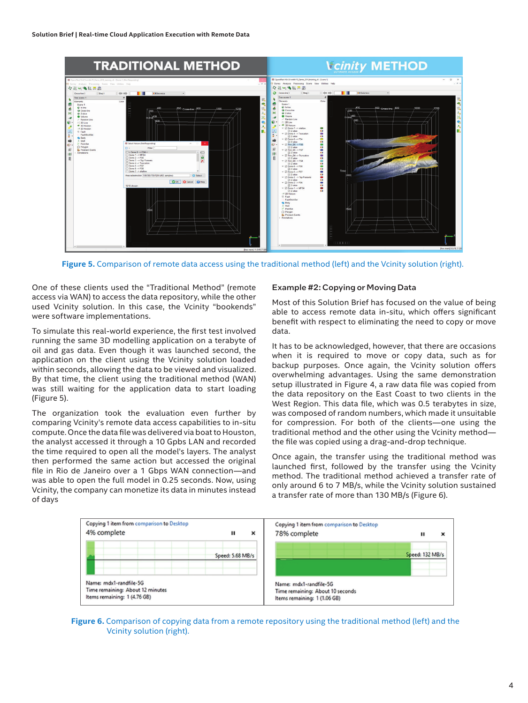

**Figure 5.** Comparison of remote data access using the traditional method (left) and the Vcinity solution (right).

One of these clients used the "Traditional Method" (remote access via WAN) to access the data repository, while the other used Vcinity solution. In this case, the Vcinity "bookends" were software implementations.

To simulate this real-world experience, the first test involved running the same 3D modelling application on a terabyte of oil and gas data. Even though it was launched second, the application on the client using the Vcinity solution loaded within seconds, allowing the data to be viewed and visualized. By that time, the client using the traditional method (WAN) was still waiting for the application data to start loading (Figure 5).

The organization took the evaluation even further by comparing Vcinity's remote data access capabilities to in-situ compute. Once the data file was delivered via boat to Houston, the analyst accessed it through a 10 Gpbs LAN and recorded the time required to open all the model's layers. The analyst then performed the same action but accessed the original file in Rio de Janeiro over a 1 Gbps WAN connection—and was able to open the full model in 0.25 seconds. Now, using Vcinity, the company can monetize its data in minutes instead of days

#### Example #2: Copying or Moving Data

Most of this Solution Brief has focused on the value of being able to access remote data in-situ, which offers significant benefit with respect to eliminating the need to copy or move data.

It has to be acknowledged, however, that there are occasions when it is required to move or copy data, such as for backup purposes. Once again, the Vcinity solution offers overwhelming advantages. Using the same demonstration setup illustrated in Figure 4, a raw data file was copied from the data repository on the East Coast to two clients in the West Region. This data file, which was 0.5 terabytes in size, was composed of random numbers, which made it unsuitable for compression. For both of the clients—one using the traditional method and the other using the Vcinity method the file was copied using a drag-and-drop technique.

Once again, the transfer using the traditional method was launched first, followed by the transfer using the Vcinity method. The traditional method achieved a transfer rate of only around 6 to 7 MB/s, while the Vcinity solution sustained a transfer rate of more than 130 MB/s (Figure 6).